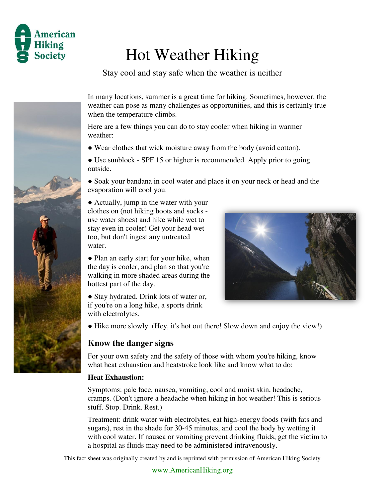

## Hot Weather Hiking

Stay cool and stay safe when the weather is neither



In many locations, summer is a great time for hiking. Sometimes, however, the weather can pose as many challenges as opportunities, and this is certainly true when the temperature climbs.

Here are a few things you can do to stay cooler when hiking in warmer weather:

● Wear clothes that wick moisture away from the body (avoid cotton).

• Use sunblock - SPF 15 or higher is recommended. Apply prior to going outside.

• Soak your bandana in cool water and place it on your neck or head and the evaporation will cool you.

• Actually, jump in the water with your clothes on (not hiking boots and socks use water shoes) and hike while wet to stay even in cooler! Get your head wet too, but don't ingest any untreated water.

• Plan an early start for your hike, when the day is cooler, and plan so that you're walking in more shaded areas during the hottest part of the day.

• Stay hydrated. Drink lots of water or, if you're on a long hike, a sports drink with electrolytes.



• Hike more slowly. (Hey, it's hot out there! Slow down and enjoy the view!)

## **Know the danger signs**

For your own safety and the safety of those with whom you're hiking, know what heat exhaustion and heatstroke look like and know what to do:

## **Heat Exhaustion:**

Symptoms: pale face, nausea, vomiting, cool and moist skin, headache, cramps. (Don't ignore a headache when hiking in hot weather! This is serious stuff. Stop. Drink. Rest.)

Treatment: drink water with electrolytes, eat high-energy foods (with fats and sugars), rest in the shade for 30-45 minutes, and cool the body by wetting it with cool water. If nausea or vomiting prevent drinking fluids, get the victim to a hospital as fluids may need to be administered intravenously.

This fact sheet was originally created by and is reprinted with permission of American Hiking Society